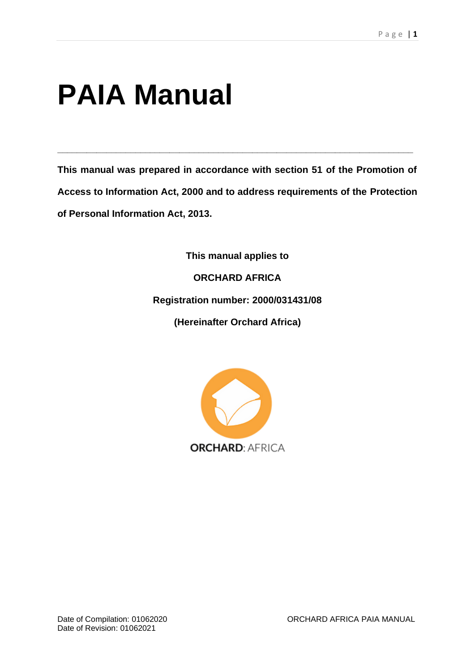# **PAIA Manual**

**This manual was prepared in accordance with section 51 of the Promotion of Access to Information Act, 2000 and to address requirements of the Protection of Personal Information Act, 2013.**

**\_\_\_\_\_\_\_\_\_\_\_\_\_\_\_\_\_\_\_\_\_\_\_\_\_\_\_\_\_\_\_\_\_\_\_\_\_\_\_\_\_\_\_\_\_\_\_\_\_\_\_\_\_\_\_\_\_\_\_\_\_\_\_\_\_\_\_\_\_\_\_\_\_**

**This manual applies to**

**ORCHARD AFRICA**

**Registration number: 2000/031431/08**

**(Hereinafter Orchard Africa)**

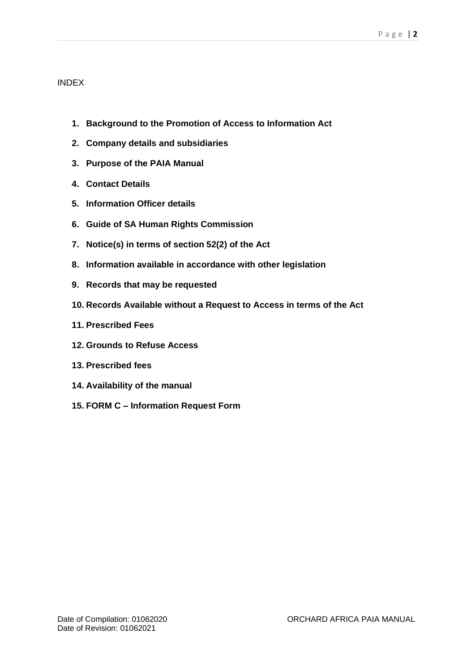## INDEX

- **1. Background to the Promotion of Access to Information Act**
- **2. Company details and subsidiaries**
- **3. Purpose of the PAIA Manual**
- **4. Contact Details**
- **5. Information Officer details**
- **6. Guide of SA Human Rights Commission**
- **7. Notice(s) in terms of section 52(2) of the Act**
- **8. Information available in accordance with other legislation**
- **9. Records that may be requested**
- **10. Records Available without a Request to Access in terms of the Act**
- **11. Prescribed Fees**
- **12. Grounds to Refuse Access**
- **13. Prescribed fees**
- **14. Availability of the manual**
- **15. FORM C – Information Request Form**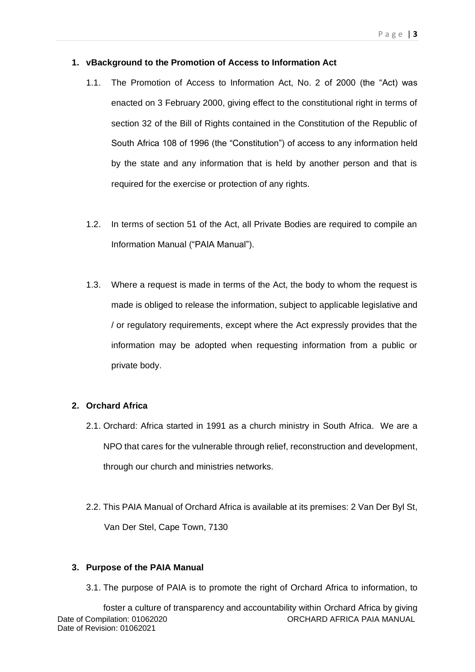#### **1. vBackground to the Promotion of Access to Information Act**

- 1.1. The Promotion of Access to Information Act, No. 2 of 2000 (the "Act) was enacted on 3 February 2000, giving effect to the constitutional right in terms of section 32 of the Bill of Rights contained in the Constitution of the Republic of South Africa 108 of 1996 (the "Constitution") of access to any information held by the state and any information that is held by another person and that is required for the exercise or protection of any rights.
- 1.2. In terms of section 51 of the Act, all Private Bodies are required to compile an Information Manual ("PAIA Manual").
- 1.3. Where a request is made in terms of the Act, the body to whom the request is made is obliged to release the information, subject to applicable legislative and / or regulatory requirements, except where the Act expressly provides that the information may be adopted when requesting information from a public or private body.

#### **2. Orchard Africa**

- 2.1. Orchard: Africa started in 1991 as a church ministry in South Africa. We are a NPO that cares for the vulnerable through relief, reconstruction and development, through our church and ministries networks.
- 2.2. This PAIA Manual of Orchard Africa is available at its premises: 2 Van Der Byl St, Van Der Stel, Cape Town, 7130

#### **3. Purpose of the PAIA Manual**

3.1. The purpose of PAIA is to promote the right of Orchard Africa to information, to

Date of Compilation: 01062020 ORCHARD AFRICA PAIA MANUAL Date of Revision: 01062021 foster a culture of transparency and accountability within Orchard Africa by giving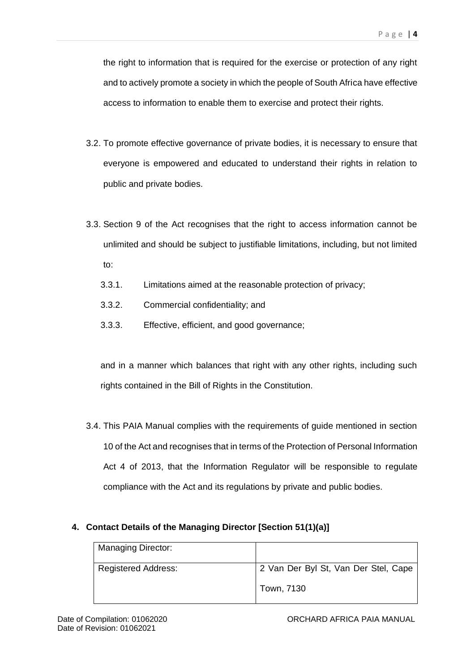the right to information that is required for the exercise or protection of any right and to actively promote a society in which the people of South Africa have effective access to information to enable them to exercise and protect their rights.

- 3.2. To promote effective governance of private bodies, it is necessary to ensure that everyone is empowered and educated to understand their rights in relation to public and private bodies.
- 3.3. Section 9 of the Act recognises that the right to access information cannot be unlimited and should be subject to justifiable limitations, including, but not limited to:
	- 3.3.1. Limitations aimed at the reasonable protection of privacy;
	- 3.3.2. Commercial confidentiality; and
	- 3.3.3. Effective, efficient, and good governance;

and in a manner which balances that right with any other rights, including such rights contained in the Bill of Rights in the Constitution.

3.4. This PAIA Manual complies with the requirements of guide mentioned in section 10 of the Act and recognises that in terms of the Protection of Personal Information Act 4 of 2013, that the Information Regulator will be responsible to regulate compliance with the Act and its regulations by private and public bodies.

## **4. Contact Details of the Managing Director [Section 51(1)(a)]**

| Managing Director:         |                                      |
|----------------------------|--------------------------------------|
| <b>Registered Address:</b> | 2 Van Der Byl St, Van Der Stel, Cape |
|                            | Town, 7130                           |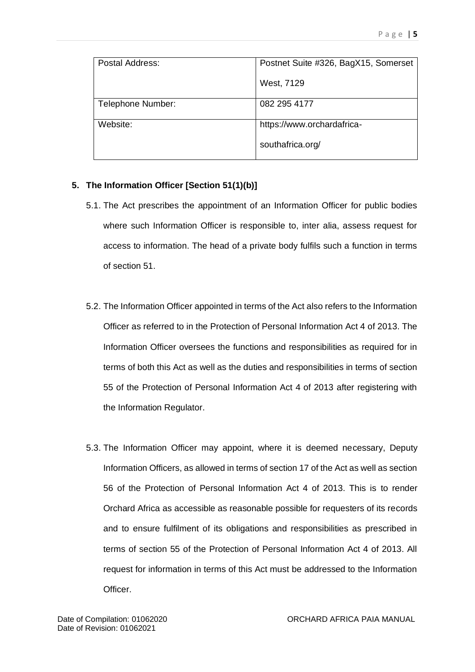| Postal Address:   | Postnet Suite #326, BagX15, Somerset |  |  |
|-------------------|--------------------------------------|--|--|
|                   | West, 7129                           |  |  |
| Telephone Number: | 082 295 4177                         |  |  |
| Website:          | https://www.orchardafrica-           |  |  |
|                   | southafrica.org/                     |  |  |

## **5. The Information Officer [Section 51(1)(b)]**

- 5.1. The Act prescribes the appointment of an Information Officer for public bodies where such Information Officer is responsible to, inter alia, assess request for access to information. The head of a private body fulfils such a function in terms of section 51.
- 5.2. The Information Officer appointed in terms of the Act also refers to the Information Officer as referred to in the Protection of Personal Information Act 4 of 2013. The Information Officer oversees the functions and responsibilities as required for in terms of both this Act as well as the duties and responsibilities in terms of section 55 of the Protection of Personal Information Act 4 of 2013 after registering with the Information Regulator.
- 5.3. The Information Officer may appoint, where it is deemed necessary, Deputy Information Officers, as allowed in terms of section 17 of the Act as well as section 56 of the Protection of Personal Information Act 4 of 2013. This is to render Orchard Africa as accessible as reasonable possible for requesters of its records and to ensure fulfilment of its obligations and responsibilities as prescribed in terms of section 55 of the Protection of Personal Information Act 4 of 2013. All request for information in terms of this Act must be addressed to the Information Officer.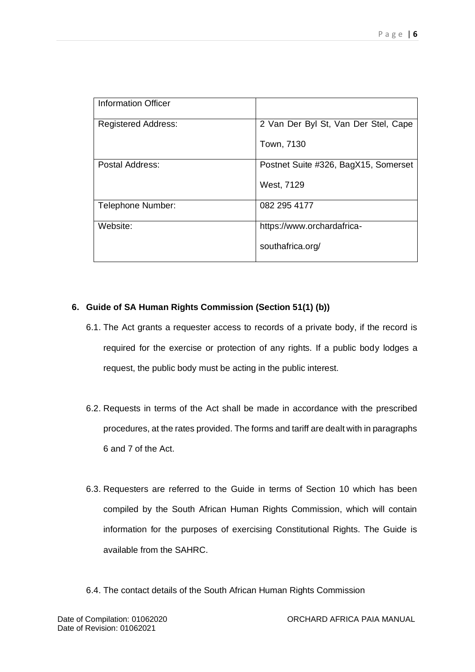| Information Officer        |                                      |
|----------------------------|--------------------------------------|
| <b>Registered Address:</b> | 2 Van Der Byl St, Van Der Stel, Cape |
|                            | Town, 7130                           |
| Postal Address:            | Postnet Suite #326, BagX15, Somerset |
|                            | West, 7129                           |
| Telephone Number:          | 082 295 4177                         |
| Website:                   | https://www.orchardafrica-           |
|                            | southafrica.org/                     |

## **6. Guide of SA Human Rights Commission (Section 51(1) (b))**

- 6.1. The Act grants a requester access to records of a private body, if the record is required for the exercise or protection of any rights. If a public body lodges a request, the public body must be acting in the public interest.
- 6.2. Requests in terms of the Act shall be made in accordance with the prescribed procedures, at the rates provided. The forms and tariff are dealt with in paragraphs 6 and 7 of the Act.
- 6.3. Requesters are referred to the Guide in terms of Section 10 which has been compiled by the South African Human Rights Commission, which will contain information for the purposes of exercising Constitutional Rights. The Guide is available from the SAHRC.
- 6.4. The contact details of the South African Human Rights Commission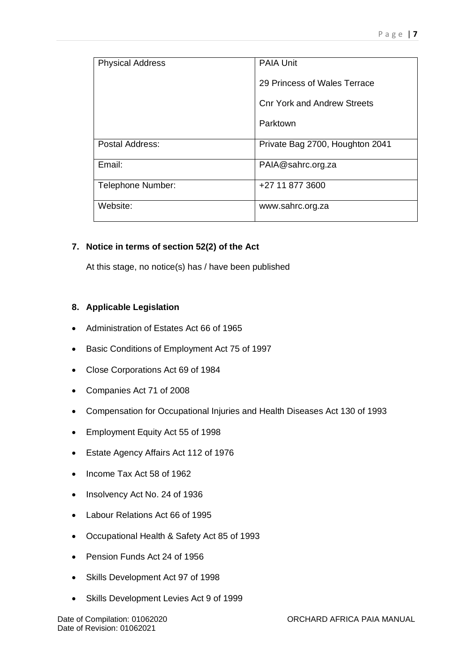| <b>Physical Address</b> | <b>PAIA Unit</b>                   |  |  |
|-------------------------|------------------------------------|--|--|
|                         | 29 Princess of Wales Terrace       |  |  |
|                         | <b>Cnr York and Andrew Streets</b> |  |  |
|                         | Parktown                           |  |  |
| Postal Address:         | Private Bag 2700, Houghton 2041    |  |  |
| Email:                  | PAIA@sahrc.org.za                  |  |  |
| Telephone Number:       | +27 11 877 3600                    |  |  |
| Website:                | www.sahrc.org.za                   |  |  |

## **7. Notice in terms of section 52(2) of the Act**

At this stage, no notice(s) has / have been published

## **8. Applicable Legislation**

- Administration of Estates Act 66 of 1965
- Basic Conditions of Employment Act 75 of 1997
- Close Corporations Act 69 of 1984
- Companies Act 71 of 2008
- Compensation for Occupational Injuries and Health Diseases Act 130 of 1993
- Employment Equity Act 55 of 1998
- Estate Agency Affairs Act 112 of 1976
- Income Tax Act 58 of 1962
- Insolvency Act No. 24 of 1936
- Labour Relations Act 66 of 1995
- Occupational Health & Safety Act 85 of 1993
- Pension Funds Act 24 of 1956
- Skills Development Act 97 of 1998
- Skills Development Levies Act 9 of 1999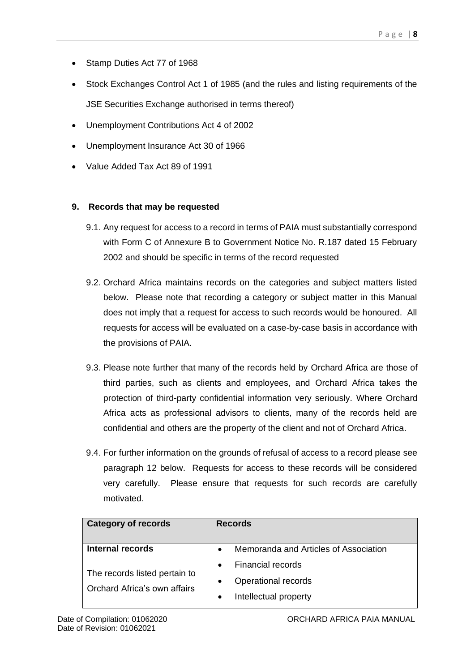- Stamp Duties Act 77 of 1968
- Stock Exchanges Control Act 1 of 1985 (and the rules and listing requirements of the JSE Securities Exchange authorised in terms thereof)
- Unemployment Contributions Act 4 of 2002
- Unemployment Insurance Act 30 of 1966
- Value Added Tax Act 89 of 1991

## **9. Records that may be requested**

- 9.1. Any request for access to a record in terms of PAIA must substantially correspond with Form C of Annexure B to Government Notice No. R.187 dated 15 February 2002 and should be specific in terms of the record requested
- 9.2. Orchard Africa maintains records on the categories and subject matters listed below. Please note that recording a category or subject matter in this Manual does not imply that a request for access to such records would be honoured. All requests for access will be evaluated on a case-by-case basis in accordance with the provisions of PAIA.
- 9.3. Please note further that many of the records held by Orchard Africa are those of third parties, such as clients and employees, and Orchard Africa takes the protection of third-party confidential information very seriously. Where Orchard Africa acts as professional advisors to clients, many of the records held are confidential and others are the property of the client and not of Orchard Africa.
- 9.4. For further information on the grounds of refusal of access to a record please see paragraph 12 below. Requests for access to these records will be considered very carefully. Please ensure that requests for such records are carefully motivated.

| <b>Category of records</b>                                    | <b>Records</b>                                     |  |  |
|---------------------------------------------------------------|----------------------------------------------------|--|--|
| <b>Internal records</b>                                       | Memoranda and Articles of Association<br>$\bullet$ |  |  |
|                                                               | <b>Financial records</b>                           |  |  |
| The records listed pertain to<br>Orchard Africa's own affairs | Operational records<br>$\bullet$                   |  |  |
|                                                               | Intellectual property<br>$\bullet$                 |  |  |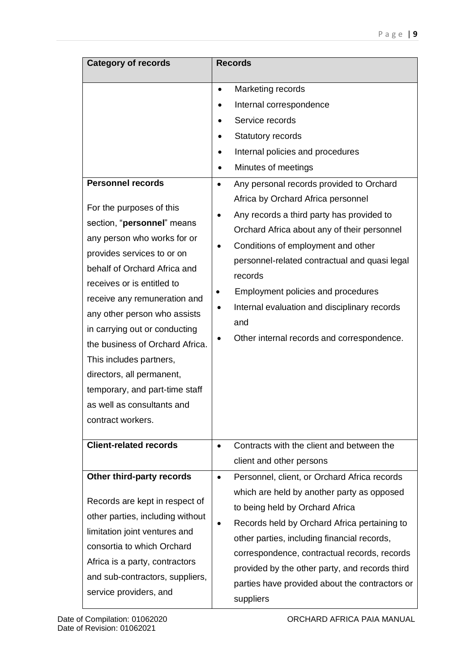| <b>Category of records</b>                                                                                                                                                                                                                                                                                                                                                                                                                                                                     | <b>Records</b>                                                                                                                                                                                                                                                                                                                                                                                                                                                                                                                                                                                                              |
|------------------------------------------------------------------------------------------------------------------------------------------------------------------------------------------------------------------------------------------------------------------------------------------------------------------------------------------------------------------------------------------------------------------------------------------------------------------------------------------------|-----------------------------------------------------------------------------------------------------------------------------------------------------------------------------------------------------------------------------------------------------------------------------------------------------------------------------------------------------------------------------------------------------------------------------------------------------------------------------------------------------------------------------------------------------------------------------------------------------------------------------|
| <b>Personnel records</b><br>For the purposes of this<br>section, "personnel" means<br>any person who works for or<br>provides services to or on<br>behalf of Orchard Africa and<br>receives or is entitled to<br>receive any remuneration and<br>any other person who assists<br>in carrying out or conducting<br>the business of Orchard Africa.<br>This includes partners,<br>directors, all permanent,<br>temporary, and part-time staff<br>as well as consultants and<br>contract workers. | Marketing records<br>$\bullet$<br>Internal correspondence<br>Service records<br>Statutory records<br>Internal policies and procedures<br>Minutes of meetings<br>Any personal records provided to Orchard<br>$\bullet$<br>Africa by Orchard Africa personnel<br>Any records a third party has provided to<br>$\bullet$<br>Orchard Africa about any of their personnel<br>Conditions of employment and other<br>personnel-related contractual and quasi legal<br>records<br>Employment policies and procedures<br>٠<br>Internal evaluation and disciplinary records<br>٠<br>and<br>Other internal records and correspondence. |
| <b>Client-related records</b>                                                                                                                                                                                                                                                                                                                                                                                                                                                                  | Contracts with the client and between the<br>$\bullet$<br>client and other persons                                                                                                                                                                                                                                                                                                                                                                                                                                                                                                                                          |
| Other third-party records<br>Records are kept in respect of<br>other parties, including without<br>limitation joint ventures and<br>consortia to which Orchard<br>Africa is a party, contractors<br>and sub-contractors, suppliers,<br>service providers, and                                                                                                                                                                                                                                  | Personnel, client, or Orchard Africa records<br>$\bullet$<br>which are held by another party as opposed<br>to being held by Orchard Africa<br>Records held by Orchard Africa pertaining to<br>other parties, including financial records,<br>correspondence, contractual records, records<br>provided by the other party, and records third<br>parties have provided about the contractors or<br>suppliers                                                                                                                                                                                                                  |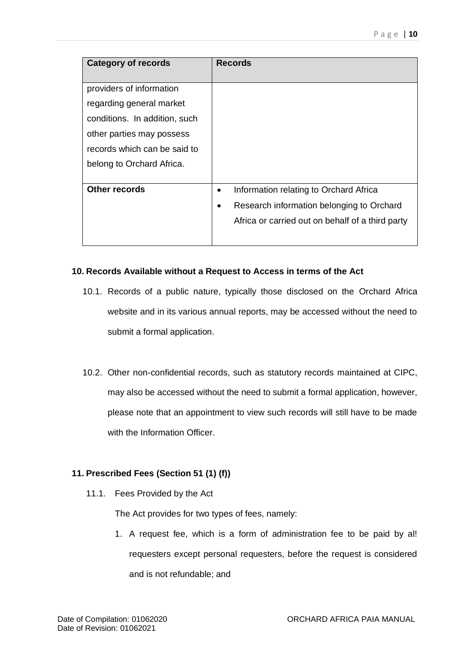| <b>Category of records</b>    | <b>Records</b>                                         |
|-------------------------------|--------------------------------------------------------|
| providers of information      |                                                        |
| regarding general market      |                                                        |
| conditions. In addition, such |                                                        |
| other parties may possess     |                                                        |
| records which can be said to  |                                                        |
| belong to Orchard Africa.     |                                                        |
|                               |                                                        |
| <b>Other records</b>          | Information relating to Orchard Africa<br>$\bullet$    |
|                               | Research information belonging to Orchard<br>$\bullet$ |
|                               | Africa or carried out on behalf of a third party       |
|                               |                                                        |

#### **10. Records Available without a Request to Access in terms of the Act**

- 10.1. Records of a public nature, typically those disclosed on the Orchard Africa website and in its various annual reports, may be accessed without the need to submit a formal application.
- 10.2. Other non-confidential records, such as statutory records maintained at CIPC, may also be accessed without the need to submit a formal application, however, please note that an appointment to view such records will still have to be made with the Information Officer.

## **11. Prescribed Fees (Section 51 (1) (f))**

11.1. Fees Provided by the Act

The Act provides for two types of fees, namely:

1. A request fee, which is a form of administration fee to be paid by al! requesters except personal requesters, before the request is considered and is not refundable; and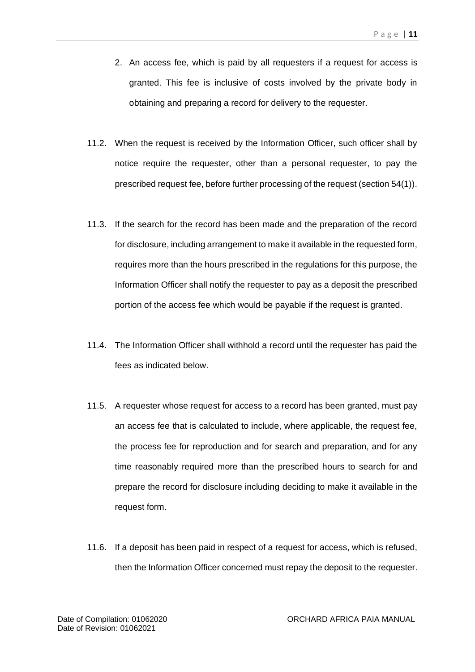- 2. An access fee, which is paid by all requesters if a request for access is granted. This fee is inclusive of costs involved by the private body in obtaining and preparing a record for delivery to the requester.
- 11.2. When the request is received by the Information Officer, such officer shall by notice require the requester, other than a personal requester, to pay the prescribed request fee, before further processing of the request (section 54(1)).
- 11.3. If the search for the record has been made and the preparation of the record for disclosure, including arrangement to make it available in the requested form, requires more than the hours prescribed in the regulations for this purpose, the Information Officer shall notify the requester to pay as a deposit the prescribed portion of the access fee which would be payable if the request is granted.
- 11.4. The Information Officer shall withhold a record until the requester has paid the fees as indicated below.
- 11.5. A requester whose request for access to a record has been granted, must pay an access fee that is calculated to include, where applicable, the request fee, the process fee for reproduction and for search and preparation, and for any time reasonably required more than the prescribed hours to search for and prepare the record for disclosure including deciding to make it available in the request form.
- 11.6. If a deposit has been paid in respect of a request for access, which is refused, then the Information Officer concerned must repay the deposit to the requester.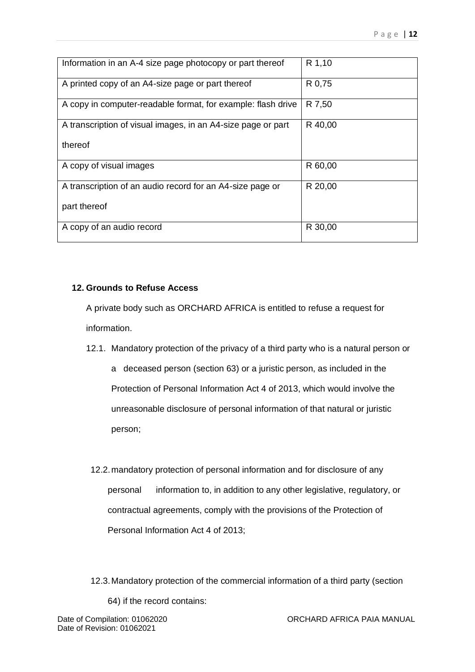| Information in an A-4 size page photocopy or part thereof    | R 1,10  |
|--------------------------------------------------------------|---------|
| A printed copy of an A4-size page or part thereof            | R 0,75  |
| A copy in computer-readable format, for example: flash drive | R 7,50  |
| A transcription of visual images, in an A4-size page or part | R 40,00 |
| thereof                                                      |         |
| A copy of visual images                                      | R 60,00 |
| A transcription of an audio record for an A4-size page or    | R 20,00 |
| part thereof                                                 |         |
| A copy of an audio record                                    | R 30,00 |

## **12. Grounds to Refuse Access**

A private body such as ORCHARD AFRICA is entitled to refuse a request for information.

12.1. Mandatory protection of the privacy of a third party who is a natural person or

a deceased person (section 63) or a juristic person, as included in the Protection of Personal Information Act 4 of 2013, which would involve the unreasonable disclosure of personal information of that natural or juristic person;

12.2.mandatory protection of personal information and for disclosure of any personal information to, in addition to any other legislative, regulatory, or contractual agreements, comply with the provisions of the Protection of Personal Information Act 4 of 2013;

12.3.Mandatory protection of the commercial information of a third party (section 64) if the record contains: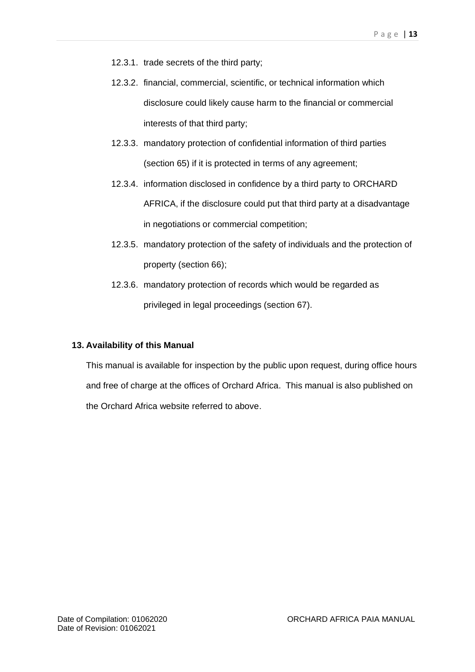- 12.3.1. trade secrets of the third party;
- 12.3.2. financial, commercial, scientific, or technical information which disclosure could likely cause harm to the financial or commercial interests of that third party;
- 12.3.3. mandatory protection of confidential information of third parties (section 65) if it is protected in terms of any agreement;
- 12.3.4. information disclosed in confidence by a third party to ORCHARD AFRICA, if the disclosure could put that third party at a disadvantage in negotiations or commercial competition;
- 12.3.5. mandatory protection of the safety of individuals and the protection of property (section 66);
- 12.3.6. mandatory protection of records which would be regarded as privileged in legal proceedings (section 67).

#### **13. Availability of this Manual**

This manual is available for inspection by the public upon request, during office hours and free of charge at the offices of Orchard Africa. This manual is also published on the Orchard Africa website referred to above.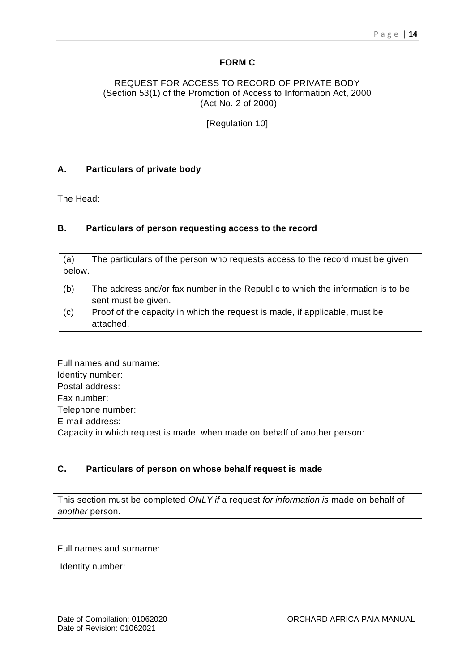#### **FORM C**

#### REQUEST FOR ACCESS TO RECORD OF PRIVATE BODY (Section 53(1) of the Promotion of Access to Information Act, 2000 (Act No. 2 of 2000)

[Regulation 10]

#### **A. Particulars of private body**

The Head:

#### **B. Particulars of person requesting access to the record**

(a) The particulars of the person who requests access to the record must be given below.

- (b) The address and/or fax number in the Republic to which the information is to be sent must be given.
- (c) Proof of the capacity in which the request is made, if applicable, must be attached.

Full names and surname: Identity number: Postal address: Fax number: Telephone number: E-mail address: Capacity in which request is made, when made on behalf of another person:

## **C. Particulars of person on whose behalf request is made**

This section must be completed *ONLY if* a request *for information is* made on behalf of *another* person.

Full names and surname:

Identity number: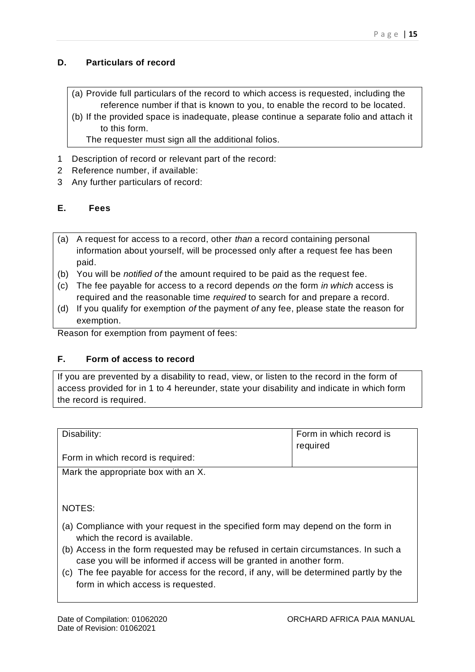## **D. Particulars of record**

- (a) Provide full particulars of the record to which access is requested, including the reference number if that is known to you, to enable the record to be located.
- (b) If the provided space is inadequate, please continue a separate folio and attach it to this form.

The requester must sign all the additional folios.

- 1 Description of record or relevant part of the record:
- 2 Reference number, if available:
- 3 Any further particulars of record:

## **E. Fees**

- (a) A request for access to a record, other *than* a record containing personal information about yourself, will be processed only after a request fee has been paid.
- (b) You will be *notified of* the amount required to be paid as the request fee.
- (c) The fee payable for access to a record depends *on* the form *in which* access is required and the reasonable time *required* to search for and prepare a record.
- (d) If you qualify for exemption *of* the payment *of* any fee, please state the reason for exemption.

Reason for exemption from payment of fees:

#### **F. Form of access to record**

If you are prevented by a disability to read, view, or listen to the record in the form of access provided for in 1 to 4 hereunder, state your disability and indicate in which form the record is required.

| Disability:                         | Form in which record is<br>required |  |  |
|-------------------------------------|-------------------------------------|--|--|
| Form in which record is required:   |                                     |  |  |
| Mark the appropriate box with an X. |                                     |  |  |

NOTES:

- (a) Compliance with your request in the specified form may depend on the form in which the record is available.
- (b) Access in the form requested may be refused in certain circumstances. In such a case you will be informed if access will be granted in another form.
- (c) The fee payable for access for the record, if any, will be determined partly by the form in which access is requested.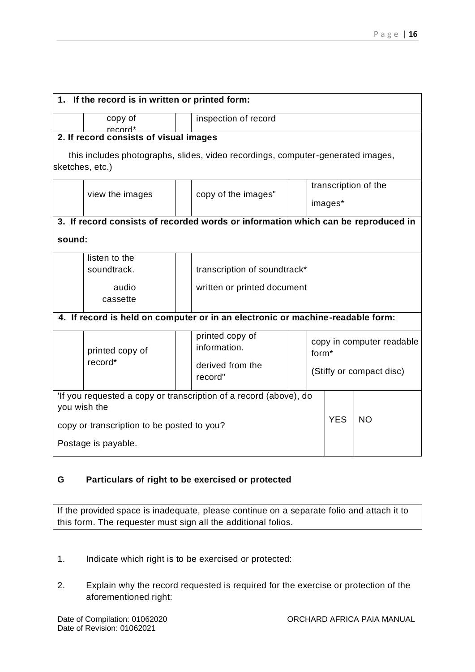|                                                                   | 1. If the record is in written or printed form:   |                                                                                   |            |                          |  |  |
|-------------------------------------------------------------------|---------------------------------------------------|-----------------------------------------------------------------------------------|------------|--------------------------|--|--|
|                                                                   |                                                   |                                                                                   |            |                          |  |  |
|                                                                   | copy of                                           | inspection of record                                                              |            |                          |  |  |
|                                                                   | record*<br>2. If record consists of visual images |                                                                                   |            |                          |  |  |
|                                                                   |                                                   |                                                                                   |            |                          |  |  |
|                                                                   |                                                   | this includes photographs, slides, video recordings, computer-generated images,   |            |                          |  |  |
|                                                                   | sketches, etc.)                                   |                                                                                   |            |                          |  |  |
|                                                                   | transcription of the                              |                                                                                   |            |                          |  |  |
|                                                                   | view the images                                   | copy of the images"                                                               |            |                          |  |  |
|                                                                   |                                                   |                                                                                   |            | images*                  |  |  |
|                                                                   |                                                   | 3. If record consists of recorded words or information which can be reproduced in |            |                          |  |  |
|                                                                   |                                                   |                                                                                   |            |                          |  |  |
| sound:                                                            |                                                   |                                                                                   |            |                          |  |  |
|                                                                   | listen to the                                     |                                                                                   |            |                          |  |  |
|                                                                   | soundtrack.                                       | transcription of soundtrack*                                                      |            |                          |  |  |
|                                                                   | audio                                             | written or printed document                                                       |            |                          |  |  |
|                                                                   | cassette                                          |                                                                                   |            |                          |  |  |
|                                                                   |                                                   |                                                                                   |            |                          |  |  |
|                                                                   |                                                   | 4. If record is held on computer or in an electronic or machine-readable form:    |            |                          |  |  |
|                                                                   |                                                   | printed copy of                                                                   |            |                          |  |  |
| printed copy of<br>record*                                        |                                                   | copy in computer readable<br>information.                                         |            |                          |  |  |
|                                                                   |                                                   | form <sup>*</sup>                                                                 |            |                          |  |  |
|                                                                   |                                                   | derived from the<br>record"                                                       |            | (Stiffy or compact disc) |  |  |
|                                                                   |                                                   |                                                                                   |            |                          |  |  |
| 'If you requested a copy or transcription of a record (above), do |                                                   |                                                                                   |            |                          |  |  |
| you wish the                                                      |                                                   |                                                                                   |            |                          |  |  |
| copy or transcription to be posted to you?                        |                                                   |                                                                                   | <b>YES</b> | <b>NO</b>                |  |  |
|                                                                   |                                                   |                                                                                   |            |                          |  |  |
|                                                                   | Postage is payable.                               |                                                                                   |            |                          |  |  |

## **G Particulars of right to be exercised or protected**

If the provided space is inadequate, please continue on a separate folio and attach it to this form. The requester must sign all the additional folios.

- 1. Indicate which right is to be exercised or protected:
- 2. Explain why the record requested is required for the exercise or protection of the aforementioned right: